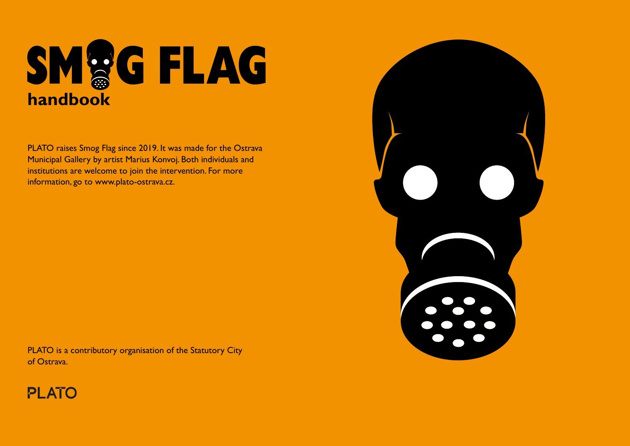

PLATO raises Smog Flag since 2019. It was made for the Ostrava Municipal Gallery by artist Marius Konvoj. Both individuals and institutions are welcome to join the intervention. For more information, go to www.plato-ostrava.cz.



PLATO is a contributory organisation of the Statutory City of Ostrava.

## **PLATO**